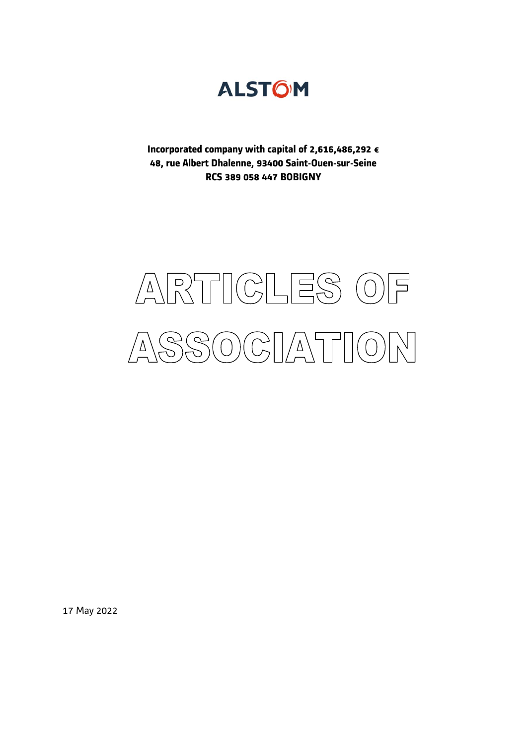

**Incorporated company with capital of 2,616,486,292 € 48, rue Albert Dhalenne, 93400 Saint-Ouen-sur-Seine RCS 389 058 447 BOBIGNY** 

# ARTICLES O  $\Box$ SOCIATION C<br>J  $\Delta$

17 May 2022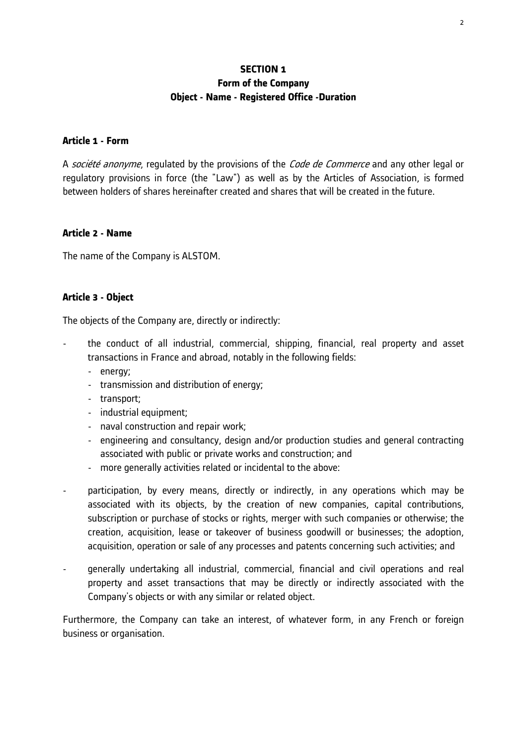## **SECTION 1 Form of the Company Object - Name - Registered Office -Duration**

#### **Article 1 - Form**

A *société anonyme*, regulated by the provisions of the *Code de Commerce* and any other legal or regulatory provisions in force (the "Law") as well as by the Articles of Association, is formed between holders of shares hereinafter created and shares that will be created in the future.

#### **Article 2 - Name**

The name of the Company is ALSTOM.

#### **Article 3 - Object**

The objects of the Company are, directly or indirectly:

- the conduct of all industrial, commercial, shipping, financial, real property and asset transactions in France and abroad, notably in the following fields:
	- energy;
	- transmission and distribution of energy;
	- transport;
	- industrial equipment:
	- naval construction and repair work;
	- engineering and consultancy, design and/or production studies and general contracting associated with public or private works and construction; and
	- more generally activities related or incidental to the above:
- participation, by every means, directly or indirectly, in any operations which may be associated with its objects, by the creation of new companies, capital contributions, subscription or purchase of stocks or rights, merger with such companies or otherwise; the creation, acquisition, lease or takeover of business goodwill or businesses; the adoption, acquisition, operation or sale of any processes and patents concerning such activities; and
- generally undertaking all industrial, commercial, financial and civil operations and real property and asset transactions that may be directly or indirectly associated with the Company's objects or with any similar or related object.

Furthermore, the Company can take an interest, of whatever form, in any French or foreign business or organisation.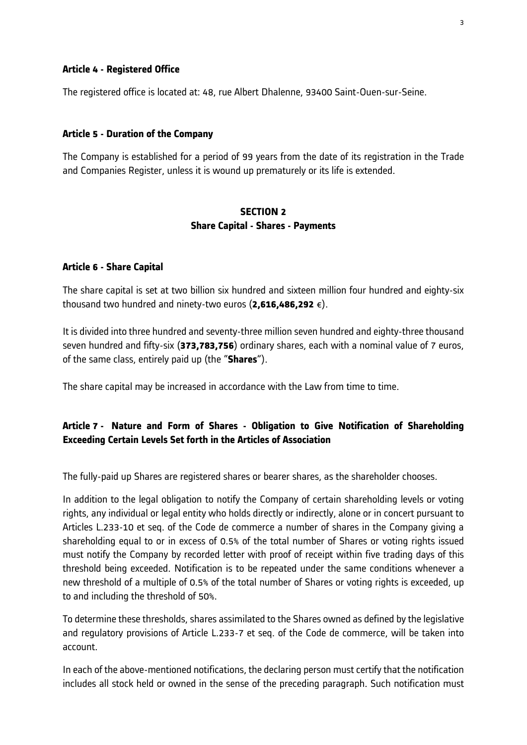#### **Article 4 - Registered Office**

The registered office is located at: 48, rue Albert Dhalenne, 93400 Saint-Ouen-sur-Seine.

#### **Article 5 - Duration of the Company**

The Company is established for a period of 99 years from the date of its registration in the Trade and Companies Register, unless it is wound up prematurely or its life is extended.

#### **SECTION 2 Share Capital - Shares - Payments**

#### **Article 6 - Share Capital**

The share capital is set at two billion six hundred and sixteen million four hundred and eighty-six thousand two hundred and ninety-two euros (**2,616,486,292** €).

It is divided into three hundred and seventy-three million seven hundred and eighty-three thousand seven hundred and fifty-six (**373,783,756**) ordinary shares, each with a nominal value of 7 euros, of the same class, entirely paid up (the "**Shares**").

The share capital may be increased in accordance with the Law from time to time.

# **Article 7 - Nature and Form of Shares - Obligation to Give Notification of Shareholding Exceeding Certain Levels Set forth in the Articles of Association**

The fully-paid up Shares are registered shares or bearer shares, as the shareholder chooses.

In addition to the legal obligation to notify the Company of certain shareholding levels or voting rights, any individual or legal entity who holds directly or indirectly, alone or in concert pursuant to Articles L.233-10 et seq. of the Code de commerce a number of shares in the Company giving a shareholding equal to or in excess of 0.5% of the total number of Shares or voting rights issued must notify the Company by recorded letter with proof of receipt within five trading days of this threshold being exceeded. Notification is to be repeated under the same conditions whenever a new threshold of a multiple of 0.5% of the total number of Shares or voting rights is exceeded, up to and including the threshold of 50%.

To determine these thresholds, shares assimilated to the Shares owned as defined by the legislative and regulatory provisions of Article L.233-7 et seq. of the Code de commerce, will be taken into account.

In each of the above-mentioned notifications, the declaring person must certify that the notification includes all stock held or owned in the sense of the preceding paragraph. Such notification must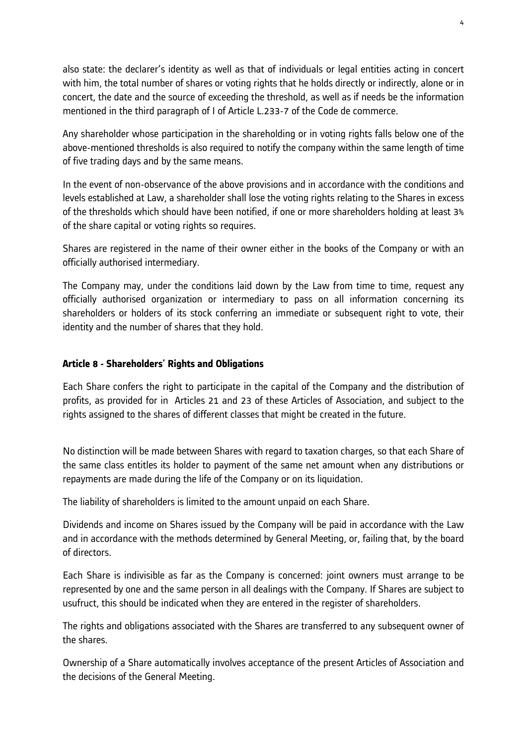also state: the declarer's identity as well as that of individuals or legal entities acting in concert with him, the total number of shares or voting rights that he holds directly or indirectly, alone or in concert, the date and the source of exceeding the threshold, as well as if needs be the information mentioned in the third paragraph of I of Article L.233-7 of the Code de commerce.

Any shareholder whose participation in the shareholding or in voting rights falls below one of the above-mentioned thresholds is also required to notify the company within the same length of time of five trading days and by the same means.

In the event of non-observance of the above provisions and in accordance with the conditions and levels established at Law, a shareholder shall lose the voting rights relating to the Shares in excess of the thresholds which should have been notified, if one or more shareholders holding at least 3% of the share capital or voting rights so requires.

Shares are registered in the name of their owner either in the books of the Company or with an officially authorised intermediary.

The Company may, under the conditions laid down by the Law from time to time, request any officially authorised organization or intermediary to pass on all information concerning its shareholders or holders of its stock conferring an immediate or subsequent right to vote, their identity and the number of shares that they hold.

# **Article 8 - Shareholders' Rights and Obligations**

Each Share confers the right to participate in the capital of the Company and the distribution of profits, as provided for in Articles 21 and 23 of these Articles of Association, and subject to the rights assigned to the shares of different classes that might be created in the future.

No distinction will be made between Shares with regard to taxation charges, so that each Share of the same class entitles its holder to payment of the same net amount when any distributions or repayments are made during the life of the Company or on its liquidation.

The liability of shareholders is limited to the amount unpaid on each Share.

Dividends and income on Shares issued by the Company will be paid in accordance with the Law and in accordance with the methods determined by General Meeting, or, failing that, by the board of directors.

Each Share is indivisible as far as the Company is concerned: joint owners must arrange to be represented by one and the same person in all dealings with the Company. If Shares are subject to usufruct, this should be indicated when they are entered in the register of shareholders.

The rights and obligations associated with the Shares are transferred to any subsequent owner of the shares.

Ownership of a Share automatically involves acceptance of the present Articles of Association and the decisions of the General Meeting.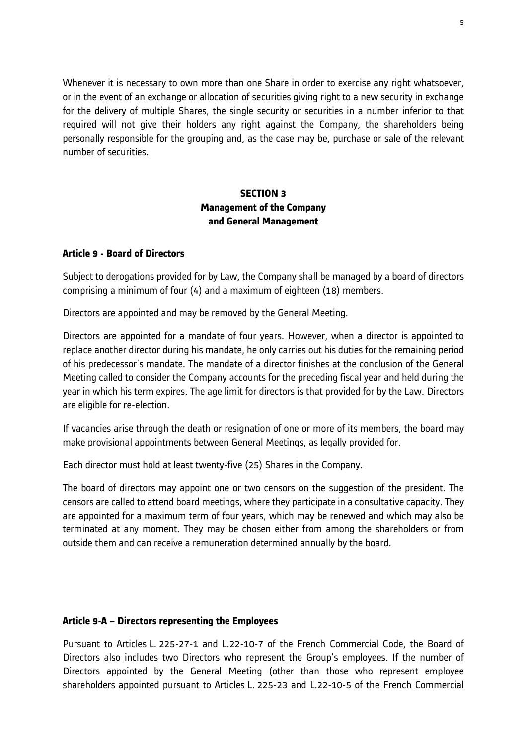Whenever it is necessary to own more than one Share in order to exercise any right whatsoever, or in the event of an exchange or allocation of securities giving right to a new security in exchange for the delivery of multiple Shares, the single security or securities in a number inferior to that required will not give their holders any right against the Company, the shareholders being personally responsible for the grouping and, as the case may be, purchase or sale of the relevant number of securities.

# **SECTION 3 Management of the Company and General Management**

#### **Article 9 - Board of Directors**

Subject to derogations provided for by Law, the Company shall be managed by a board of directors comprising a minimum of four (4) and a maximum of eighteen (18) members.

Directors are appointed and may be removed by the General Meeting.

Directors are appointed for a mandate of four years. However, when a director is appointed to replace another director during his mandate, he only carries out his duties for the remaining period of his predecessor's mandate. The mandate of a director finishes at the conclusion of the General Meeting called to consider the Company accounts for the preceding fiscal year and held during the year in which his term expires. The age limit for directors is that provided for by the Law. Directors are eligible for re-election.

If vacancies arise through the death or resignation of one or more of its members, the board may make provisional appointments between General Meetings, as legally provided for.

Each director must hold at least twenty-five (25) Shares in the Company.

The board of directors may appoint one or two censors on the suggestion of the president. The censors are called to attend board meetings, where they participate in a consultative capacity. They are appointed for a maximum term of four years, which may be renewed and which may also be terminated at any moment. They may be chosen either from among the shareholders or from outside them and can receive a remuneration determined annually by the board.

## **Article 9-A – Directors representing the Employees**

Pursuant to Articles L. 225-27-1 and L.22-10-7 of the French Commercial Code, the Board of Directors also includes two Directors who represent the Group's employees. If the number of Directors appointed by the General Meeting (other than those who represent employee shareholders appointed pursuant to Articles L. 225-23 and L.22-10-5 of the French Commercial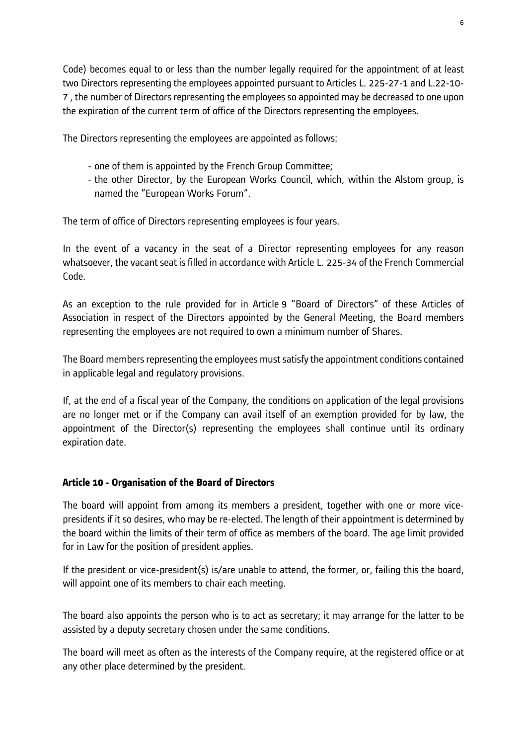Code) becomes equal to or less than the number legally required for the appointment of at least two Directors representing the employees appointed pursuant to Articles L. 225-27-1 and L.22-10- 7 , the number of Directors representing the employees so appointed may be decreased to one upon the expiration of the current term of office of the Directors representing the employees.

The Directors representing the employees are appointed as follows:

- one of them is appointed by the French Group Committee;
- the other Director, by the European Works Council, which, within the Alstom group, is named the "European Works Forum".

The term of office of Directors representing employees is four years.

In the event of a vacancy in the seat of a Director representing employees for any reason whatsoever, the vacant seat is filled in accordance with Article L. 225-34 of the French Commercial Code.

As an exception to the rule provided for in Article 9 "Board of Directors" of these Articles of Association in respect of the Directors appointed by the General Meeting, the Board members representing the employees are not required to own a minimum number of Shares.

The Board members representing the employees must satisfy the appointment conditions contained in applicable legal and regulatory provisions.

If, at the end of a fiscal year of the Company, the conditions on application of the legal provisions are no longer met or if the Company can avail itself of an exemption provided for by law, the appointment of the Director(s) representing the employees shall continue until its ordinary expiration date.

#### **Article 10 - Organisation of the Board of Directors**

The board will appoint from among its members a president, together with one or more vicepresidents if it so desires, who may be re-elected. The length of their appointment is determined by the board within the limits of their term of office as members of the board. The age limit provided for in Law for the position of president applies.

If the president or vice-president(s) is/are unable to attend, the former, or, failing this the board, will appoint one of its members to chair each meeting.

The board also appoints the person who is to act as secretary; it may arrange for the latter to be assisted by a deputy secretary chosen under the same conditions.

The board will meet as often as the interests of the Company require, at the registered office or at any other place determined by the president.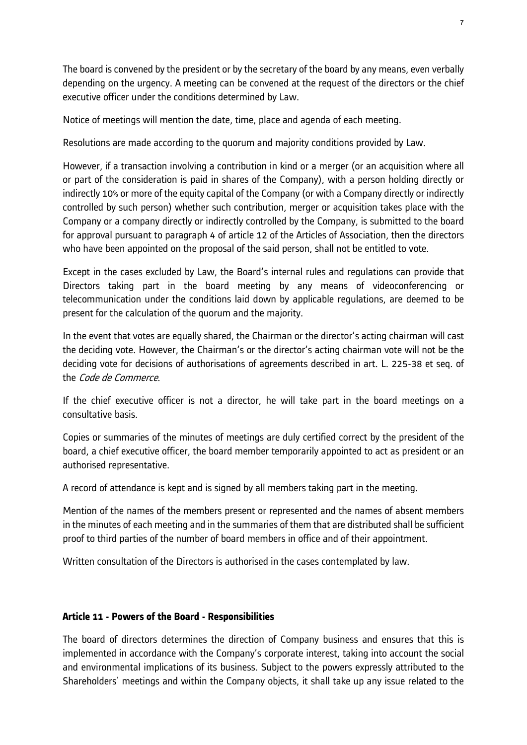The board is convened by the president or by the secretary of the board by any means, even verbally depending on the urgency. A meeting can be convened at the request of the directors or the chief executive officer under the conditions determined by Law.

Notice of meetings will mention the date, time, place and agenda of each meeting.

Resolutions are made according to the quorum and majority conditions provided by Law.

However, if a transaction involving a contribution in kind or a merger (or an acquisition where all or part of the consideration is paid in shares of the Company), with a person holding directly or indirectly 10% or more of the equity capital of the Company (or with a Company directly or indirectly controlled by such person) whether such contribution, merger or acquisition takes place with the Company or a company directly or indirectly controlled by the Company, is submitted to the board for approval pursuant to paragraph 4 of article 12 of the Articles of Association, then the directors who have been appointed on the proposal of the said person, shall not be entitled to vote.

Except in the cases excluded by Law, the Board's internal rules and regulations can provide that Directors taking part in the board meeting by any means of videoconferencing or telecommunication under the conditions laid down by applicable regulations, are deemed to be present for the calculation of the quorum and the majority.

In the event that votes are equally shared, the Chairman or the director's acting chairman will cast the deciding vote. However, the Chairman's or the director's acting chairman vote will not be the deciding vote for decisions of authorisations of agreements described in art. L. 225-38 et seq. of the Code de Commerce.

If the chief executive officer is not a director, he will take part in the board meetings on a consultative basis.

Copies or summaries of the minutes of meetings are duly certified correct by the president of the board, a chief executive officer, the board member temporarily appointed to act as president or an authorised representative.

A record of attendance is kept and is signed by all members taking part in the meeting.

Mention of the names of the members present or represented and the names of absent members in the minutes of each meeting and in the summaries of them that are distributed shall be sufficient proof to third parties of the number of board members in office and of their appointment.

Written consultation of the Directors is authorised in the cases contemplated by law.

## **Article 11 - Powers of the Board - Responsibilities**

The board of directors determines the direction of Company business and ensures that this is implemented in accordance with the Company's corporate interest, taking into account the social and environmental implications of its business. Subject to the powers expressly attributed to the Shareholders' meetings and within the Company objects, it shall take up any issue related to the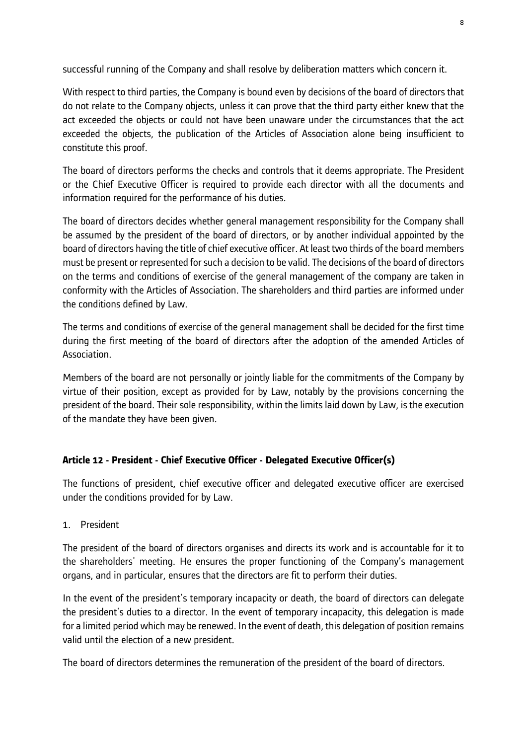successful running of the Company and shall resolve by deliberation matters which concern it.

With respect to third parties, the Company is bound even by decisions of the board of directors that do not relate to the Company objects, unless it can prove that the third party either knew that the act exceeded the objects or could not have been unaware under the circumstances that the act exceeded the objects, the publication of the Articles of Association alone being insufficient to constitute this proof.

The board of directors performs the checks and controls that it deems appropriate. The President or the Chief Executive Officer is required to provide each director with all the documents and information required for the performance of his duties.

The board of directors decides whether general management responsibility for the Company shall be assumed by the president of the board of directors, or by another individual appointed by the board of directors having the title of chief executive officer. At least two thirds of the board members must be present or represented for such a decision to be valid. The decisions of the board of directors on the terms and conditions of exercise of the general management of the company are taken in conformity with the Articles of Association. The shareholders and third parties are informed under the conditions defined by Law.

The terms and conditions of exercise of the general management shall be decided for the first time during the first meeting of the board of directors after the adoption of the amended Articles of Association.

Members of the board are not personally or jointly liable for the commitments of the Company by virtue of their position, except as provided for by Law, notably by the provisions concerning the president of the board. Their sole responsibility, within the limits laid down by Law, is the execution of the mandate they have been given.

# **Article 12 - President - Chief Executive Officer - Delegated Executive Officer(s)**

The functions of president, chief executive officer and delegated executive officer are exercised under the conditions provided for by Law.

1. President

The president of the board of directors organises and directs its work and is accountable for it to the shareholders' meeting. He ensures the proper functioning of the Company's management organs, and in particular, ensures that the directors are fit to perform their duties.

In the event of the president's temporary incapacity or death, the board of directors can delegate the president's duties to a director. In the event of temporary incapacity, this delegation is made for a limited period which may be renewed. In the event of death, this delegation of position remains valid until the election of a new president.

The board of directors determines the remuneration of the president of the board of directors.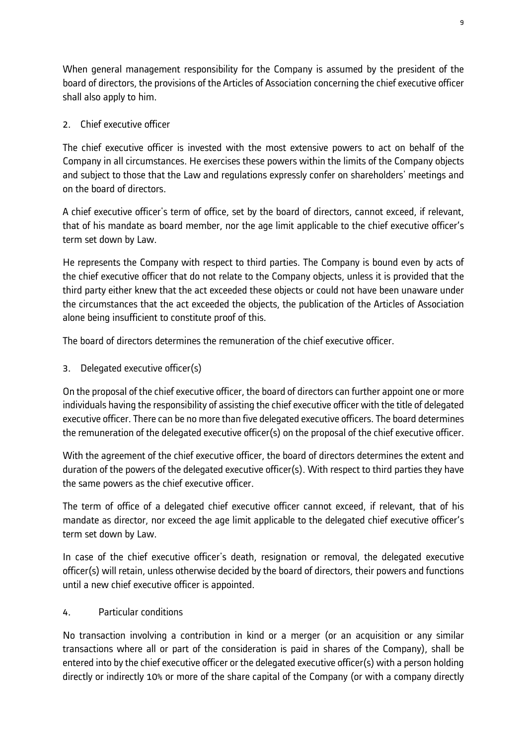When general management responsibility for the Company is assumed by the president of the board of directors, the provisions of the Articles of Association concerning the chief executive officer shall also apply to him.

# 2. Chief executive officer

The chief executive officer is invested with the most extensive powers to act on behalf of the Company in all circumstances. He exercises these powers within the limits of the Company objects and subject to those that the Law and regulations expressly confer on shareholders' meetings and on the board of directors.

A chief executive officer's term of office, set by the board of directors, cannot exceed, if relevant, that of his mandate as board member, nor the age limit applicable to the chief executive officer's term set down by Law.

He represents the Company with respect to third parties. The Company is bound even by acts of the chief executive officer that do not relate to the Company objects, unless it is provided that the third party either knew that the act exceeded these objects or could not have been unaware under the circumstances that the act exceeded the objects, the publication of the Articles of Association alone being insufficient to constitute proof of this.

The board of directors determines the remuneration of the chief executive officer.

3. Delegated executive officer(s)

On the proposal of the chief executive officer, the board of directors can further appoint one or more individuals having the responsibility of assisting the chief executive officer with the title of delegated executive officer. There can be no more than five delegated executive officers. The board determines the remuneration of the delegated executive officer(s) on the proposal of the chief executive officer.

With the agreement of the chief executive officer, the board of directors determines the extent and duration of the powers of the delegated executive officer(s). With respect to third parties they have the same powers as the chief executive officer.

The term of office of a delegated chief executive officer cannot exceed, if relevant, that of his mandate as director, nor exceed the age limit applicable to the delegated chief executive officer's term set down by Law.

In case of the chief executive officer's death, resignation or removal, the delegated executive officer(s) will retain, unless otherwise decided by the board of directors, their powers and functions until a new chief executive officer is appointed.

4. Particular conditions

No transaction involving a contribution in kind or a merger (or an acquisition or any similar transactions where all or part of the consideration is paid in shares of the Company), shall be entered into by the chief executive officer or the delegated executive officer(s) with a person holding directly or indirectly 10% or more of the share capital of the Company (or with a company directly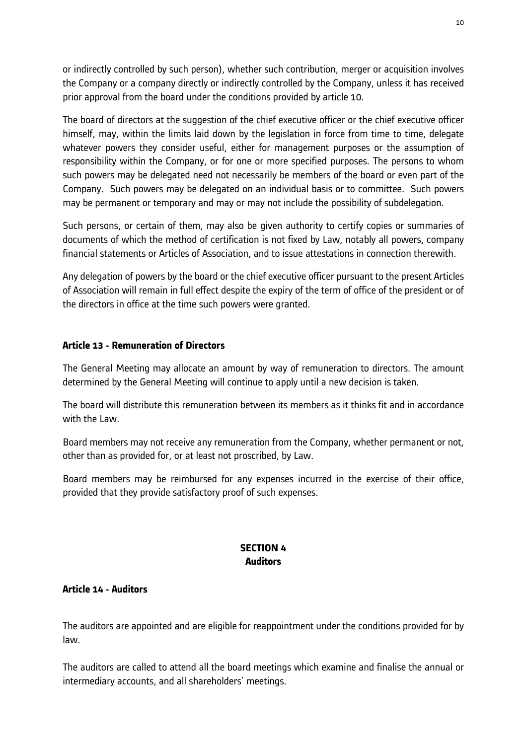or indirectly controlled by such person), whether such contribution, merger or acquisition involves the Company or a company directly or indirectly controlled by the Company, unless it has received prior approval from the board under the conditions provided by article 10.

The board of directors at the suggestion of the chief executive officer or the chief executive officer himself, may, within the limits laid down by the legislation in force from time to time, delegate whatever powers they consider useful, either for management purposes or the assumption of responsibility within the Company, or for one or more specified purposes. The persons to whom such powers may be delegated need not necessarily be members of the board or even part of the Company. Such powers may be delegated on an individual basis or to committee. Such powers may be permanent or temporary and may or may not include the possibility of subdelegation.

Such persons, or certain of them, may also be given authority to certify copies or summaries of documents of which the method of certification is not fixed by Law, notably all powers, company financial statements or Articles of Association, and to issue attestations in connection therewith.

Any delegation of powers by the board or the chief executive officer pursuant to the present Articles of Association will remain in full effect despite the expiry of the term of office of the president or of the directors in office at the time such powers were granted.

# **Article 13 - Remuneration of Directors**

The General Meeting may allocate an amount by way of remuneration to directors. The amount determined by the General Meeting will continue to apply until a new decision is taken.

The board will distribute this remuneration between its members as it thinks fit and in accordance with the Law.

Board members may not receive any remuneration from the Company, whether permanent or not, other than as provided for, or at least not proscribed, by Law.

Board members may be reimbursed for any expenses incurred in the exercise of their office, provided that they provide satisfactory proof of such expenses.

# **SECTION 4 Auditors**

## **Article 14 - Auditors**

The auditors are appointed and are eligible for reappointment under the conditions provided for by law.

The auditors are called to attend all the board meetings which examine and finalise the annual or intermediary accounts, and all shareholders' meetings.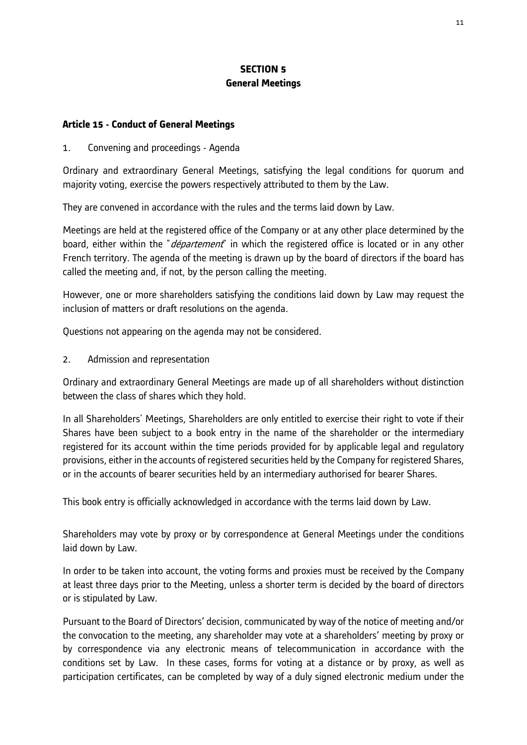# **SECTION 5 General Meetings**

#### **Article 15 - Conduct of General Meetings**

#### 1. Convening and proceedings - Agenda

Ordinary and extraordinary General Meetings, satisfying the legal conditions for quorum and majority voting, exercise the powers respectively attributed to them by the Law.

They are convened in accordance with the rules and the terms laid down by Law.

Meetings are held at the registered office of the Company or at any other place determined by the board, either within the "*département*" in which the registered office is located or in any other French territory. The agenda of the meeting is drawn up by the board of directors if the board has called the meeting and, if not, by the person calling the meeting.

However, one or more shareholders satisfying the conditions laid down by Law may request the inclusion of matters or draft resolutions on the agenda.

Questions not appearing on the agenda may not be considered.

2. Admission and representation

Ordinary and extraordinary General Meetings are made up of all shareholders without distinction between the class of shares which they hold.

In all Shareholders' Meetings, Shareholders are only entitled to exercise their right to vote if their Shares have been subject to a book entry in the name of the shareholder or the intermediary registered for its account within the time periods provided for by applicable legal and regulatory provisions, either in the accounts of registered securities held by the Company for registered Shares, or in the accounts of bearer securities held by an intermediary authorised for bearer Shares.

This book entry is officially acknowledged in accordance with the terms laid down by Law.

Shareholders may vote by proxy or by correspondence at General Meetings under the conditions laid down by Law.

In order to be taken into account, the voting forms and proxies must be received by the Company at least three days prior to the Meeting, unless a shorter term is decided by the board of directors or is stipulated by Law.

Pursuant to the Board of Directors' decision, communicated by way of the notice of meeting and/or the convocation to the meeting, any shareholder may vote at a shareholders' meeting by proxy or by correspondence via any electronic means of telecommunication in accordance with the conditions set by Law. In these cases, forms for voting at a distance or by proxy, as well as participation certificates, can be completed by way of a duly signed electronic medium under the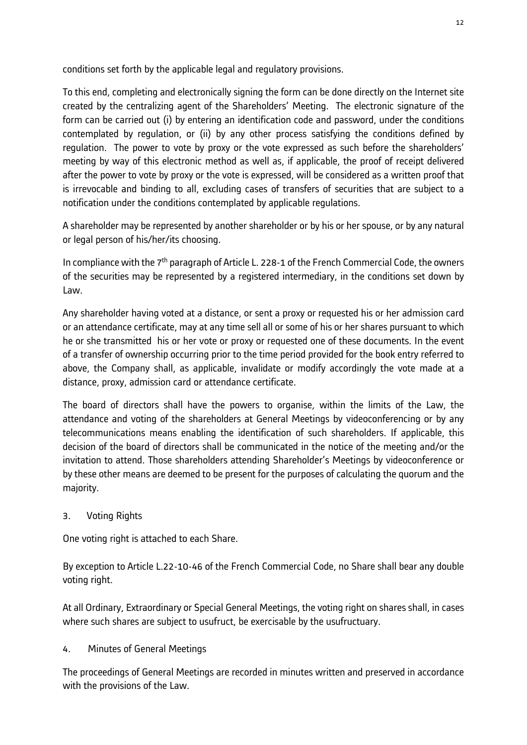conditions set forth by the applicable legal and regulatory provisions.

To this end, completing and electronically signing the form can be done directly on the Internet site created by the centralizing agent of the Shareholders' Meeting. The electronic signature of the form can be carried out (i) by entering an identification code and password, under the conditions contemplated by regulation, or (ii) by any other process satisfying the conditions defined by regulation. The power to vote by proxy or the vote expressed as such before the shareholders' meeting by way of this electronic method as well as, if applicable, the proof of receipt delivered after the power to vote by proxy or the vote is expressed, will be considered as a written proof that is irrevocable and binding to all, excluding cases of transfers of securities that are subject to a notification under the conditions contemplated by applicable regulations.

A shareholder may be represented by another shareholder or by his or her spouse, or by any natural or legal person of his/her/its choosing.

In compliance with the 7<sup>th</sup> paragraph of Article L. 228-1 of the French Commercial Code, the owners of the securities may be represented by a registered intermediary, in the conditions set down by Law.

Any shareholder having voted at a distance, or sent a proxy or requested his or her admission card or an attendance certificate, may at any time sell all or some of his or her shares pursuant to which he or she transmitted his or her vote or proxy or requested one of these documents. In the event of a transfer of ownership occurring prior to the time period provided for the book entry referred to above, the Company shall, as applicable, invalidate or modify accordingly the vote made at a distance, proxy, admission card or attendance certificate.

The board of directors shall have the powers to organise, within the limits of the Law, the attendance and voting of the shareholders at General Meetings by videoconferencing or by any telecommunications means enabling the identification of such shareholders. If applicable, this decision of the board of directors shall be communicated in the notice of the meeting and/or the invitation to attend. Those shareholders attending Shareholder's Meetings by videoconference or by these other means are deemed to be present for the purposes of calculating the quorum and the majority.

# 3. Voting Rights

One voting right is attached to each Share.

By exception to Article L.22-10-46 of the French Commercial Code, no Share shall bear any double voting right.

At all Ordinary, Extraordinary or Special General Meetings, the voting right on shares shall, in cases where such shares are subject to usufruct, be exercisable by the usufructuary.

# 4. Minutes of General Meetings

The proceedings of General Meetings are recorded in minutes written and preserved in accordance with the provisions of the Law.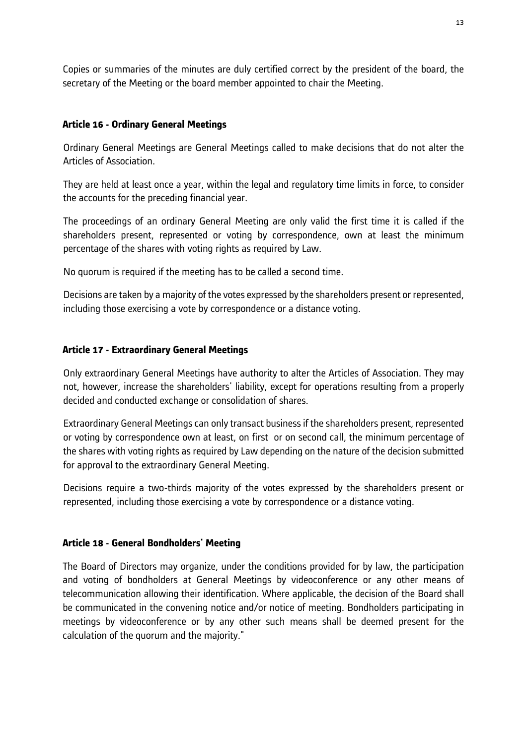Copies or summaries of the minutes are duly certified correct by the president of the board, the secretary of the Meeting or the board member appointed to chair the Meeting.

## **Article 16 - Ordinary General Meetings**

Ordinary General Meetings are General Meetings called to make decisions that do not alter the Articles of Association.

They are held at least once a year, within the legal and regulatory time limits in force, to consider the accounts for the preceding financial year.

The proceedings of an ordinary General Meeting are only valid the first time it is called if the shareholders present, represented or voting by correspondence, own at least the minimum percentage of the shares with voting rights as required by Law.

No quorum is required if the meeting has to be called a second time.

Decisions are taken by a majority of the votes expressed by the shareholders present or represented, including those exercising a vote by correspondence or a distance voting.

# **Article 17 - Extraordinary General Meetings**

Only extraordinary General Meetings have authority to alter the Articles of Association. They may not, however, increase the shareholders' liability, except for operations resulting from a properly decided and conducted exchange or consolidation of shares.

Extraordinary General Meetings can only transact business if the shareholders present, represented or voting by correspondence own at least, on first or on second call, the minimum percentage of the shares with voting rights as required by Law depending on the nature of the decision submitted for approval to the extraordinary General Meeting.

Decisions require a two-thirds majority of the votes expressed by the shareholders present or represented, including those exercising a vote by correspondence or a distance voting.

## **Article 18 - General Bondholders' Meeting**

The Board of Directors may organize, under the conditions provided for by law, the participation and voting of bondholders at General Meetings by videoconference or any other means of telecommunication allowing their identification. Where applicable, the decision of the Board shall be communicated in the convening notice and/or notice of meeting. Bondholders participating in meetings by videoconference or by any other such means shall be deemed present for the calculation of the quorum and the majority."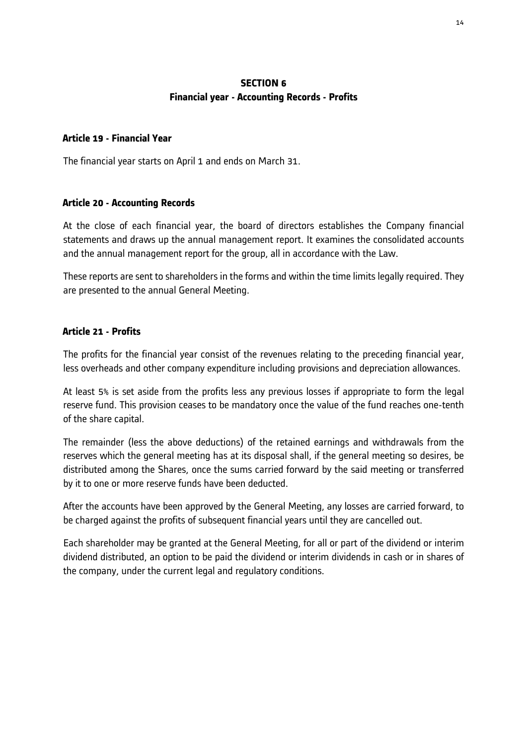#### **SECTION 6 Financial year - Accounting Records - Profits**

#### **Article 19 - Financial Year**

The financial year starts on April 1 and ends on March 31.

#### **Article 20 - Accounting Records**

At the close of each financial year, the board of directors establishes the Company financial statements and draws up the annual management report. It examines the consolidated accounts and the annual management report for the group, all in accordance with the Law.

These reports are sent to shareholders in the forms and within the time limits legally required. They are presented to the annual General Meeting.

#### **Article 21 - Profits**

The profits for the financial year consist of the revenues relating to the preceding financial year, less overheads and other company expenditure including provisions and depreciation allowances.

At least 5% is set aside from the profits less any previous losses if appropriate to form the legal reserve fund. This provision ceases to be mandatory once the value of the fund reaches one-tenth of the share capital.

The remainder (less the above deductions) of the retained earnings and withdrawals from the reserves which the general meeting has at its disposal shall, if the general meeting so desires, be distributed among the Shares, once the sums carried forward by the said meeting or transferred by it to one or more reserve funds have been deducted.

After the accounts have been approved by the General Meeting, any losses are carried forward, to be charged against the profits of subsequent financial years until they are cancelled out.

Each shareholder may be granted at the General Meeting, for all or part of the dividend or interim dividend distributed, an option to be paid the dividend or interim dividends in cash or in shares of the company, under the current legal and regulatory conditions.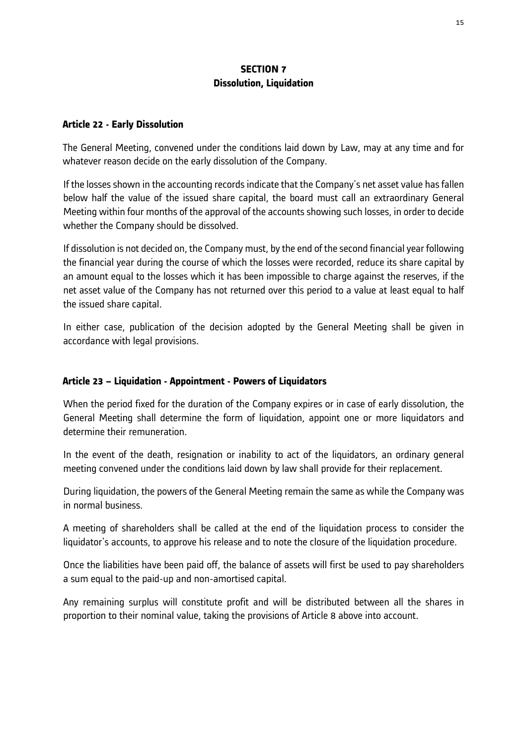## **SECTION 7 Dissolution, Liquidation**

#### **Article 22 - Early Dissolution**

The General Meeting, convened under the conditions laid down by Law, may at any time and for whatever reason decide on the early dissolution of the Company.

If the losses shown in the accounting records indicate that the Company's net asset value has fallen below half the value of the issued share capital, the board must call an extraordinary General Meeting within four months of the approval of the accounts showing such losses, in order to decide whether the Company should be dissolved.

If dissolution is not decided on, the Company must, by the end of the second financial year following the financial year during the course of which the losses were recorded, reduce its share capital by an amount equal to the losses which it has been impossible to charge against the reserves, if the net asset value of the Company has not returned over this period to a value at least equal to half the issued share capital.

In either case, publication of the decision adopted by the General Meeting shall be given in accordance with legal provisions.

## **Article 23 – Liquidation - Appointment - Powers of Liquidators**

When the period fixed for the duration of the Company expires or in case of early dissolution, the General Meeting shall determine the form of liquidation, appoint one or more liquidators and determine their remuneration.

In the event of the death, resignation or inability to act of the liquidators, an ordinary general meeting convened under the conditions laid down by law shall provide for their replacement.

During liquidation, the powers of the General Meeting remain the same as while the Company was in normal business.

A meeting of shareholders shall be called at the end of the liquidation process to consider the liquidator's accounts, to approve his release and to note the closure of the liquidation procedure.

Once the liabilities have been paid off, the balance of assets will first be used to pay shareholders a sum equal to the paid-up and non-amortised capital.

Any remaining surplus will constitute profit and will be distributed between all the shares in proportion to their nominal value, taking the provisions of Article 8 above into account.